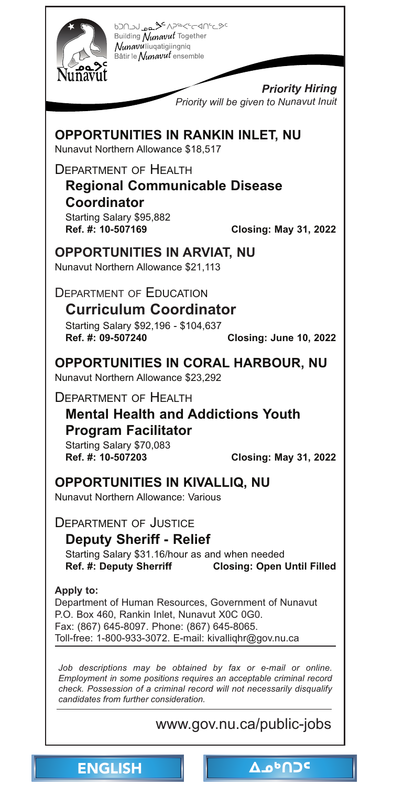<span id="page-0-0"></span>

Building Nunavut Together Nunavuliuqatigiingniq Bâtir le Nunavut ensemble

> *Priority Hiring Priority will be given to Nunavut Inuit*

**OPPORTUNITIES IN RANKIN INLET, NU**  Nunavut Northern Allowance \$18,517

DEPARTMENT OF HEALTH

**Regional Communicable Disease Coordinator**  Starting Salary \$95,882

**Ref. #: 10-507169 Closing: May 31, 2022** 

**OPPORTUNITIES IN ARVIAT, NU** 

Nunavut Northern Allowance \$21,113

DEPARTMENT OF EDUCATION

**Curriculum Coordinator**  Starting Salary \$92,196 - \$104,637<br>Ref. #: 09-507240 **Ref. #: 09-507240 Closing: June 10, 2022** 

**[OPPORTUNITIES IN CORAL HARBOUR, NU](http://www.gov.nu.ca/public-jobs)** 

Nunavut Northern Allowance \$23,292

DEPARTMENT OF HEALTH

**Mental Health and Addictions Youth Program Facilitator** 

Starting Salary \$70,083 **Ref. #: 10-507203 Closing: May 31, 2022** 

**OPPORTUNITIES IN KIVALLIQ, NU** 

Nunavut Northern Allowance: Various

DEPARTMENT OF JUSTICE

**Deputy Sheriff - Relief** 

Starting Salary \$31.16/hour as and when needed **Ref. #: Deputy Sherriff Closing: Open Until Filled** 

**Apply to:** Department of Human Resources, Government of Nunavut P.O. Box 460, Rankin Inlet, Nunavut X0C 0G0. Fax: (867) 645-8097. Phone: (867) 645-8065. Toll-free: 1-800-933-3072. E-mail: kivalliqhr@gov.nu.ca

Job descriptions may be obtained by fax or e-mail or online. *Employment in some positions requires an acceptable criminal record check. Possession of a criminal record will not necessarily disqualify candidates from further consideration.*

ENGLISH NO<sup>c</sup>

www.gov.nu.ca/public-jobs